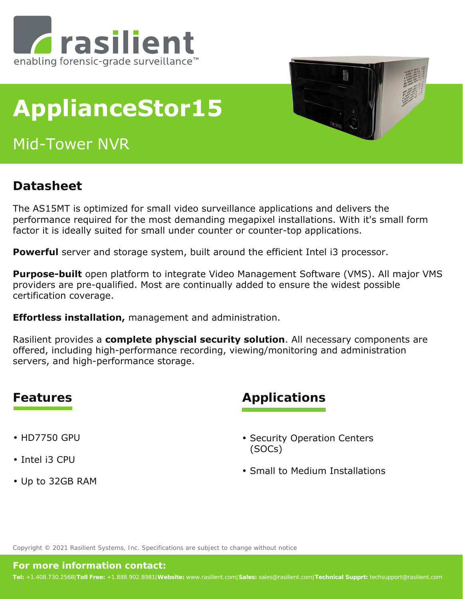

# **ApplianceStor15**

Mid-Tower NVR



### **Datasheet**

The AS15MT is optimized for small video surveillance applications and delivers the performance required for the most demanding megapixel installations. With it's small form factor it is ideally suited for small under counter or counter-top applications.

**Powerful** server and storage system, built around the efficient Intel i3 processor.

**Purpose-built** open platform to integrate Video Management Software (VMS). All major VMS providers are pre-qualified. Most are continually added to ensure the widest possible certification coverage.

**Effortless installation,** management and administration.

Rasilient provides a **complete physcial security solution**. All necessary components are offered, including high-performance recording, viewing/monitoring and administration servers, and high-performance storage.

- HD7750 GPU
- Intel i3 CPU
- Up to 32GB RAM

### **Features Applications**

- Security Operation Centers (SOCs)
- Small to Medium Installations

Copyright © 2021 Rasilient Systems, Inc. Specifications are subject to change without notice

#### **For more information contact:**

**Tel:** +1.408.730.2568|**Toll Free:** +1.888.902.8981|**Website:** www.rasilient.com|**Sales:** sales@rasilient.com|**Technical Supprt:** techsupport@rasilient.com